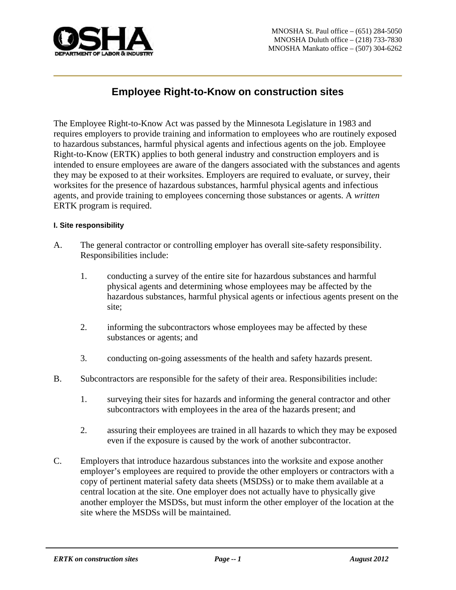

# **Employee Right-to-Know on construction sites**

The Employee Right-to-Know Act was passed by the Minnesota Legislature in 1983 and requires employers to provide training and information to employees who are routinely exposed to hazardous substances, harmful physical agents and infectious agents on the job. Employee Right-to-Know (ERTK) applies to both general industry and construction employers and is intended to ensure employees are aware of the dangers associated with the substances and agents they may be exposed to at their worksites. Employers are required to evaluate, or survey, their worksites for the presence of hazardous substances, harmful physical agents and infectious agents, and provide training to employees concerning those substances or agents. A *written* ERTK program is required.

#### **I. Site responsibility**

- A. The general contractor or controlling employer has overall site-safety responsibility. Responsibilities include:
	- 1. conducting a survey of the entire site for hazardous substances and harmful physical agents and determining whose employees may be affected by the hazardous substances, harmful physical agents or infectious agents present on the site;
	- 2. informing the subcontractors whose employees may be affected by these substances or agents; and
	- 3. conducting on-going assessments of the health and safety hazards present.
- B. Subcontractors are responsible for the safety of their area. Responsibilities include:
	- 1. surveying their sites for hazards and informing the general contractor and other subcontractors with employees in the area of the hazards present; and
	- 2. assuring their employees are trained in all hazards to which they may be exposed even if the exposure is caused by the work of another subcontractor.
- C. Employers that introduce hazardous substances into the worksite and expose another employer's employees are required to provide the other employers or contractors with a copy of pertinent material safety data sheets (MSDSs) or to make them available at a central location at the site. One employer does not actually have to physically give another employer the MSDSs, but must inform the other employer of the location at the site where the MSDSs will be maintained.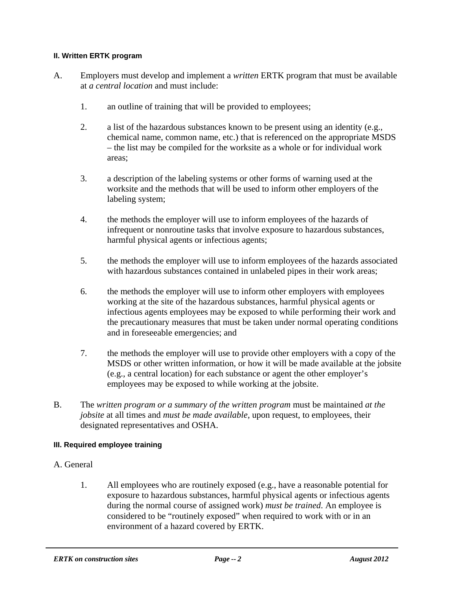## **II. Written ERTK program**

- A. Employers must develop and implement a *written* ERTK program that must be available at *a central location* and must include:
	- 1. an outline of training that will be provided to employees;
	- 2. a list of the hazardous substances known to be present using an identity (e.g., chemical name, common name, etc.) that is referenced on the appropriate MSDS – the list may be compiled for the worksite as a whole or for individual work areas;
	- 3. a description of the labeling systems or other forms of warning used at the worksite and the methods that will be used to inform other employers of the labeling system;
	- 4. the methods the employer will use to inform employees of the hazards of infrequent or nonroutine tasks that involve exposure to hazardous substances, harmful physical agents or infectious agents;
	- 5. the methods the employer will use to inform employees of the hazards associated with hazardous substances contained in unlabeled pipes in their work areas;
	- 6. the methods the employer will use to inform other employers with employees working at the site of the hazardous substances, harmful physical agents or infectious agents employees may be exposed to while performing their work and the precautionary measures that must be taken under normal operating conditions and in foreseeable emergencies; and
	- 7. the methods the employer will use to provide other employers with a copy of the MSDS or other written information, or how it will be made available at the jobsite (e.g., a central location) for each substance or agent the other employer's employees may be exposed to while working at the jobsite.
- B. The *written program or a summary of the written program* must be maintained *at the jobsite* at all times and *must be made available*, upon request, to employees, their designated representatives and OSHA.

# **III. Required employee training**

- A. General
	- 1. All employees who are routinely exposed (e.g., have a reasonable potential for exposure to hazardous substances, harmful physical agents or infectious agents during the normal course of assigned work) *must be trained*. An employee is considered to be "routinely exposed" when required to work with or in an environment of a hazard covered by ERTK.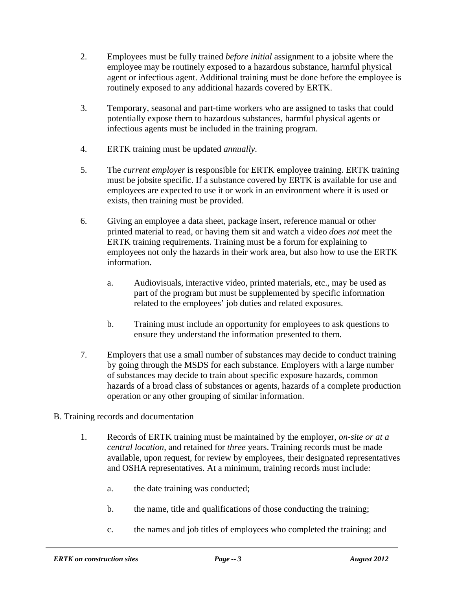- 2. Employees must be fully trained *before initial* assignment to a jobsite where the employee may be routinely exposed to a hazardous substance, harmful physical agent or infectious agent. Additional training must be done before the employee is routinely exposed to any additional hazards covered by ERTK.
- 3. Temporary, seasonal and part-time workers who are assigned to tasks that could potentially expose them to hazardous substances, harmful physical agents or infectious agents must be included in the training program.
- 4. ERTK training must be updated *annually*.
- 5. The *current employer* is responsible for ERTK employee training. ERTK training must be jobsite specific. If a substance covered by ERTK is available for use and employees are expected to use it or work in an environment where it is used or exists, then training must be provided.
- 6. Giving an employee a data sheet, package insert, reference manual or other printed material to read, or having them sit and watch a video *does not* meet the ERTK training requirements. Training must be a forum for explaining to employees not only the hazards in their work area, but also how to use the ERTK information.
	- a. Audiovisuals, interactive video, printed materials, etc., may be used as part of the program but must be supplemented by specific information related to the employees' job duties and related exposures.
	- b. Training must include an opportunity for employees to ask questions to ensure they understand the information presented to them.
- 7. Employers that use a small number of substances may decide to conduct training by going through the MSDS for each substance. Employers with a large number of substances may decide to train about specific exposure hazards, common hazards of a broad class of substances or agents, hazards of a complete production operation or any other grouping of similar information.
- B. Training records and documentation
	- 1. Records of ERTK training must be maintained by the employer, *on-site or at a central location*, and retained for *three* years. Training records must be made available, upon request, for review by employees, their designated representatives and OSHA representatives. At a minimum, training records must include:
		- a. the date training was conducted;
		- b. the name, title and qualifications of those conducting the training;
		- c. the names and job titles of employees who completed the training; and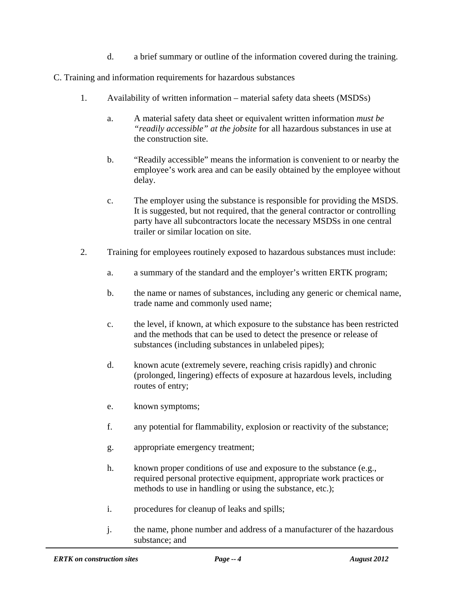d. a brief summary or outline of the information covered during the training.

C. Training and information requirements for hazardous substances

- 1. Availability of written information material safety data sheets (MSDSs)
	- a. A material safety data sheet or equivalent written information *must be "readily accessible" at the jobsite* for all hazardous substances in use at the construction site.
	- b. "Readily accessible" means the information is convenient to or nearby the employee's work area and can be easily obtained by the employee without delay.
	- c. The employer using the substance is responsible for providing the MSDS. It is suggested, but not required, that the general contractor or controlling party have all subcontractors locate the necessary MSDSs in one central trailer or similar location on site.
- 2. Training for employees routinely exposed to hazardous substances must include:
	- a. a summary of the standard and the employer's written ERTK program;
	- b. the name or names of substances, including any generic or chemical name, trade name and commonly used name;
	- c. the level, if known, at which exposure to the substance has been restricted and the methods that can be used to detect the presence or release of substances (including substances in unlabeled pipes);
	- d. known acute (extremely severe, reaching crisis rapidly) and chronic (prolonged, lingering) effects of exposure at hazardous levels, including routes of entry;
	- e. known symptoms;
	- f. any potential for flammability, explosion or reactivity of the substance;
	- g. appropriate emergency treatment;
	- h. known proper conditions of use and exposure to the substance (e.g., required personal protective equipment, appropriate work practices or methods to use in handling or using the substance, etc.);
	- i. procedures for cleanup of leaks and spills;
	- j. the name, phone number and address of a manufacturer of the hazardous substance; and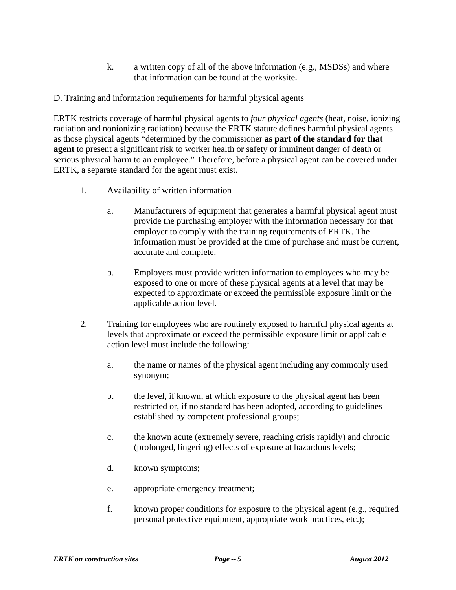- k. a written copy of all of the above information (e.g., MSDSs) and where that information can be found at the worksite.
- D. Training and information requirements for harmful physical agents

ERTK restricts coverage of harmful physical agents to *four physical agents* (heat, noise, ionizing radiation and nonionizing radiation) because the ERTK statute defines harmful physical agents as those physical agents "determined by the commissioner **as part of the standard for that agent** to present a significant risk to worker health or safety or imminent danger of death or serious physical harm to an employee." Therefore, before a physical agent can be covered under ERTK, a separate standard for the agent must exist.

- 1. Availability of written information
	- a. Manufacturers of equipment that generates a harmful physical agent must provide the purchasing employer with the information necessary for that employer to comply with the training requirements of ERTK. The information must be provided at the time of purchase and must be current, accurate and complete.
	- b. Employers must provide written information to employees who may be exposed to one or more of these physical agents at a level that may be expected to approximate or exceed the permissible exposure limit or the applicable action level.
- 2. Training for employees who are routinely exposed to harmful physical agents at levels that approximate or exceed the permissible exposure limit or applicable action level must include the following:
	- a. the name or names of the physical agent including any commonly used synonym;
	- b. the level, if known, at which exposure to the physical agent has been restricted or, if no standard has been adopted, according to guidelines established by competent professional groups;
	- c. the known acute (extremely severe, reaching crisis rapidly) and chronic (prolonged, lingering) effects of exposure at hazardous levels;
	- d. known symptoms;
	- e. appropriate emergency treatment;
	- f. known proper conditions for exposure to the physical agent (e.g., required personal protective equipment, appropriate work practices, etc.);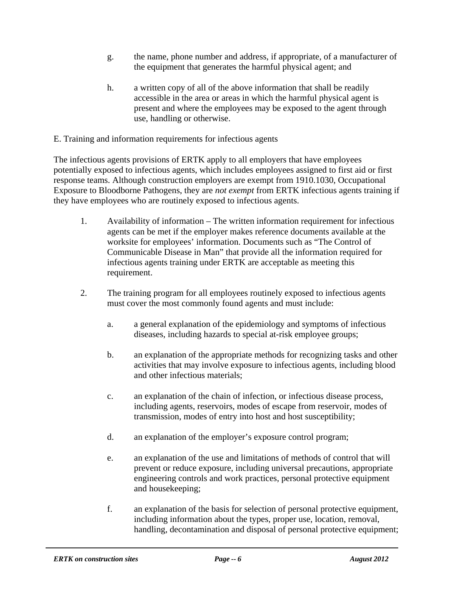- g. the name, phone number and address, if appropriate, of a manufacturer of the equipment that generates the harmful physical agent; and
- h. a written copy of all of the above information that shall be readily accessible in the area or areas in which the harmful physical agent is present and where the employees may be exposed to the agent through use, handling or otherwise.
- E. Training and information requirements for infectious agents

The infectious agents provisions of ERTK apply to all employers that have employees potentially exposed to infectious agents, which includes employees assigned to first aid or first response teams. Although construction employers are exempt from 1910.1030, Occupational Exposure to Bloodborne Pathogens, they are *not exempt* from ERTK infectious agents training if they have employees who are routinely exposed to infectious agents.

- 1. Availability of information The written information requirement for infectious agents can be met if the employer makes reference documents available at the worksite for employees' information. Documents such as "The Control of Communicable Disease in Man" that provide all the information required for infectious agents training under ERTK are acceptable as meeting this requirement.
- 2. The training program for all employees routinely exposed to infectious agents must cover the most commonly found agents and must include:
	- a. a general explanation of the epidemiology and symptoms of infectious diseases, including hazards to special at-risk employee groups;
	- b. an explanation of the appropriate methods for recognizing tasks and other activities that may involve exposure to infectious agents, including blood and other infectious materials;
	- c. an explanation of the chain of infection, or infectious disease process, including agents, reservoirs, modes of escape from reservoir, modes of transmission, modes of entry into host and host susceptibility;
	- d. an explanation of the employer's exposure control program;
	- e. an explanation of the use and limitations of methods of control that will prevent or reduce exposure, including universal precautions, appropriate engineering controls and work practices, personal protective equipment and housekeeping;
	- f. an explanation of the basis for selection of personal protective equipment, including information about the types, proper use, location, removal, handling, decontamination and disposal of personal protective equipment;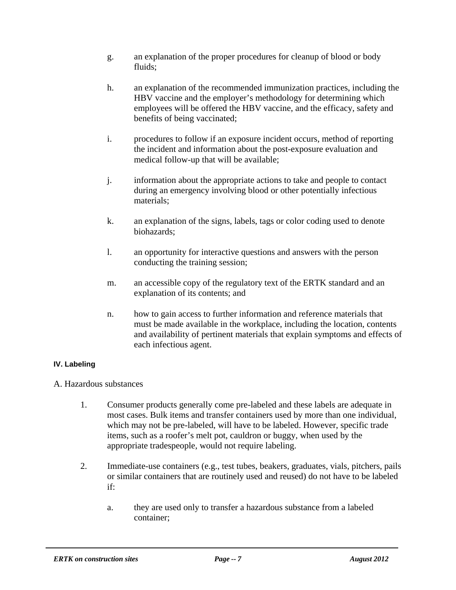- g. an explanation of the proper procedures for cleanup of blood or body fluids:
- h. an explanation of the recommended immunization practices, including the HBV vaccine and the employer's methodology for determining which employees will be offered the HBV vaccine, and the efficacy, safety and benefits of being vaccinated;
- i. procedures to follow if an exposure incident occurs, method of reporting the incident and information about the post-exposure evaluation and medical follow-up that will be available;
- j. information about the appropriate actions to take and people to contact during an emergency involving blood or other potentially infectious materials;
- k. an explanation of the signs, labels, tags or color coding used to denote biohazards;
- l. an opportunity for interactive questions and answers with the person conducting the training session;
- m. an accessible copy of the regulatory text of the ERTK standard and an explanation of its contents; and
- n. how to gain access to further information and reference materials that must be made available in the workplace, including the location, contents and availability of pertinent materials that explain symptoms and effects of each infectious agent.

# **IV. Labeling**

A. Hazardous substances

- 1. Consumer products generally come pre-labeled and these labels are adequate in most cases. Bulk items and transfer containers used by more than one individual, which may not be pre-labeled, will have to be labeled. However, specific trade items, such as a roofer's melt pot, cauldron or buggy, when used by the appropriate tradespeople, would not require labeling.
- 2. Immediate-use containers (e.g., test tubes, beakers, graduates, vials, pitchers, pails or similar containers that are routinely used and reused) do not have to be labeled if:
	- a. they are used only to transfer a hazardous substance from a labeled container;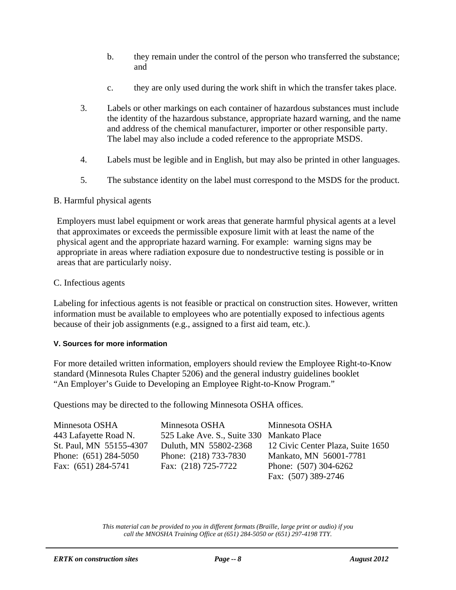- b. they remain under the control of the person who transferred the substance; and
- c. they are only used during the work shift in which the transfer takes place.
- 3. Labels or other markings on each container of hazardous substances must include the identity of the hazardous substance, appropriate hazard warning, and the name and address of the chemical manufacturer, importer or other responsible party. The label may also include a coded reference to the appropriate MSDS.
- 4. Labels must be legible and in English, but may also be printed in other languages.
- 5. The substance identity on the label must correspond to the MSDS for the product.

## B. Harmful physical agents

Employers must label equipment or work areas that generate harmful physical agents at a level that approximates or exceeds the permissible exposure limit with at least the name of the physical agent and the appropriate hazard warning. For example: warning signs may be appropriate in areas where radiation exposure due to nondestructive testing is possible or in areas that are particularly noisy.

## C. Infectious agents

Labeling for infectious agents is not feasible or practical on construction sites. However, written information must be available to employees who are potentially exposed to infectious agents because of their job assignments (e.g., assigned to a first aid team, etc.).

#### **V. Sources for more information**

For more detailed written information, employers should review the Employee Right-to-Know standard (Minnesota Rules Chapter 5206) and the general industry guidelines booklet "An Employer's Guide to Developing an Employee Right-to-Know Program."

Questions may be directed to the following Minnesota OSHA offices.

| Minnesota OSHA          | Minnesota OSHA                            | Minnesota OSHA                    |
|-------------------------|-------------------------------------------|-----------------------------------|
| 443 Lafayette Road N.   | 525 Lake Ave. S., Suite 330 Mankato Place |                                   |
| St. Paul, MN 55155-4307 | Duluth, MN 55802-2368                     | 12 Civic Center Plaza, Suite 1650 |
| Phone: $(651)$ 284-5050 | Phone: (218) 733-7830                     | Mankato, MN 56001-7781            |
| Fax: $(651)$ 284-5741   | Fax: (218) 725-7722                       | Phone: (507) 304-6262             |
|                         |                                           | Fax: (507) 389-2746               |

*This material can be provided to you in different formats (Braille, large print or audio) if you call the MNOSHA Training Office at (651) 284-5050 or (651) 297-4198 TTY.*